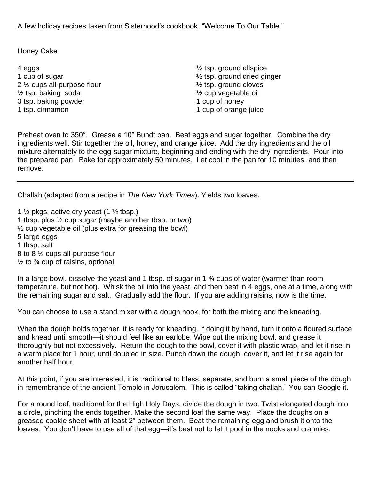A few holiday recipes taken from Sisterhood's cookbook, "Welcome To Our Table."

Honey Cake

4 eggs 1 cup of sugar 2 ½ cups all-purpose flour  $\frac{1}{2}$  tsp. baking soda 3 tsp. baking powder 1 tsp. cinnamon

½ tsp. ground allspice ½ tsp. ground dried ginger ½ tsp. ground cloves ½ cup vegetable oil 1 cup of honey 1 cup of orange juice

Preheat oven to 350°. Grease a 10" Bundt pan. Beat eggs and sugar together. Combine the dry ingredients well. Stir together the oil, honey, and orange juice. Add the dry ingredients and the oil mixture alternately to the egg-sugar mixture, beginning and ending with the dry ingredients. Pour into the prepared pan. Bake for approximately 50 minutes. Let cool in the pan for 10 minutes, and then remove.

Challah (adapted from a recipe in *The New York Times*). Yields two loaves.

1  $\frac{1}{2}$  pkgs. active dry yeast (1  $\frac{1}{2}$  tbsp.) 1 tbsp. plus ½ cup sugar (maybe another tbsp. or two) ½ cup vegetable oil (plus extra for greasing the bowl) 5 large eggs 1 tbsp. salt 8 to 8 ½ cups all-purpose flour  $\frac{1}{2}$  to  $\frac{3}{4}$  cup of raisins, optional

In a large bowl, dissolve the yeast and 1 tbsp. of sugar in 1 % cups of water (warmer than room temperature, but not hot). Whisk the oil into the yeast, and then beat in 4 eggs, one at a time, along with the remaining sugar and salt. Gradually add the flour. If you are adding raisins, now is the time.

You can choose to use a stand mixer with a dough hook, for both the mixing and the kneading.

When the dough holds together, it is ready for kneading. If doing it by hand, turn it onto a floured surface and knead until smooth—it should feel like an earlobe. Wipe out the mixing bowl, and grease it thoroughly but not excessively. Return the dough to the bowl, cover it with plastic wrap, and let it rise in a warm place for 1 hour, until doubled in size. Punch down the dough, cover it, and let it rise again for another half hour.

At this point, if you are interested, it is traditional to bless, separate, and burn a small piece of the dough in remembrance of the ancient Temple in Jerusalem. This is called "taking challah." You can Google it.

For a round loaf, traditional for the High Holy Days, divide the dough in two. Twist elongated dough into a circle, pinching the ends together. Make the second loaf the same way. Place the doughs on a greased cookie sheet with at least 2" between them. Beat the remaining egg and brush it onto the loaves. You don't have to use all of that egg—it's best not to let it pool in the nooks and crannies.